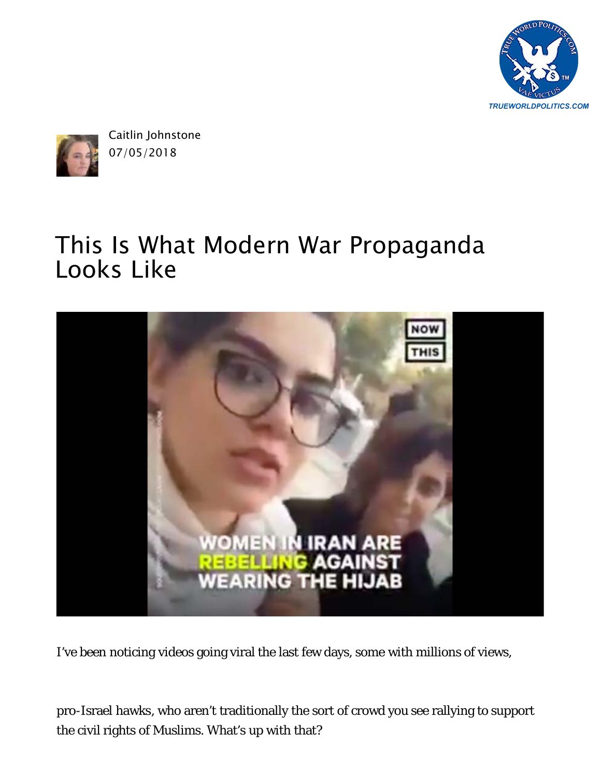



Caitlin Johnstone 07/05/2018

## [This Is What Modern War Propaganda](https://medium.com/@caityjohnstone/this-is-what-modern-war-propaganda-looks-like-ffb523ce8be) Looks Like



I've been noticing videos going viral the last few days, [some](https://twitter.com/HeshmatAlavi/status/1013122527361548290) with [millions of views](https://www.facebook.com/Vocativ/videos/2039873829358175/),

[pro-Israel hawks](https://twitter.com/MsJulieLenarz/status/1014470758922416128), who aren't traditionally the sort of crowd you see rallying to support the civil rights of Muslims. What's up with that?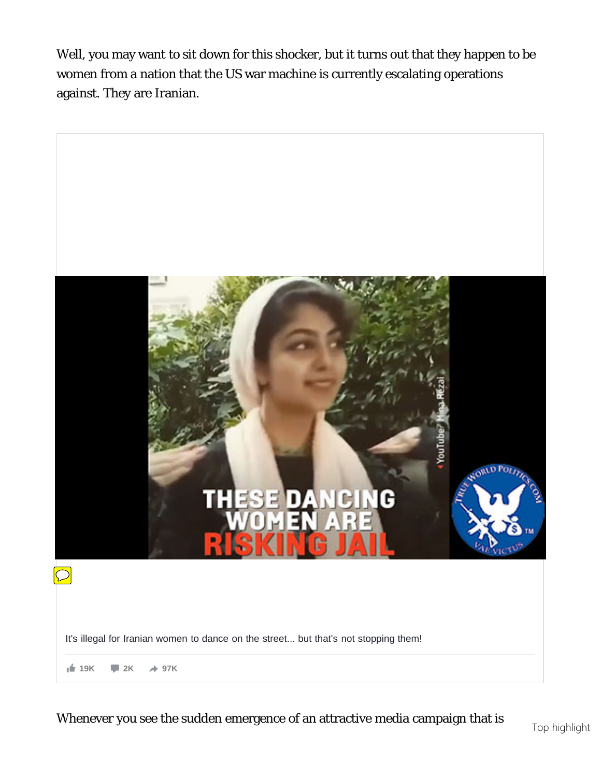Well, you may want to sit down for this shocker, but it turns out that they happen to be women from a nation that the US war machine is currently escalating operations against. They are Iranian.



Whenever you see the sudden emergence of an attractive media campaign that is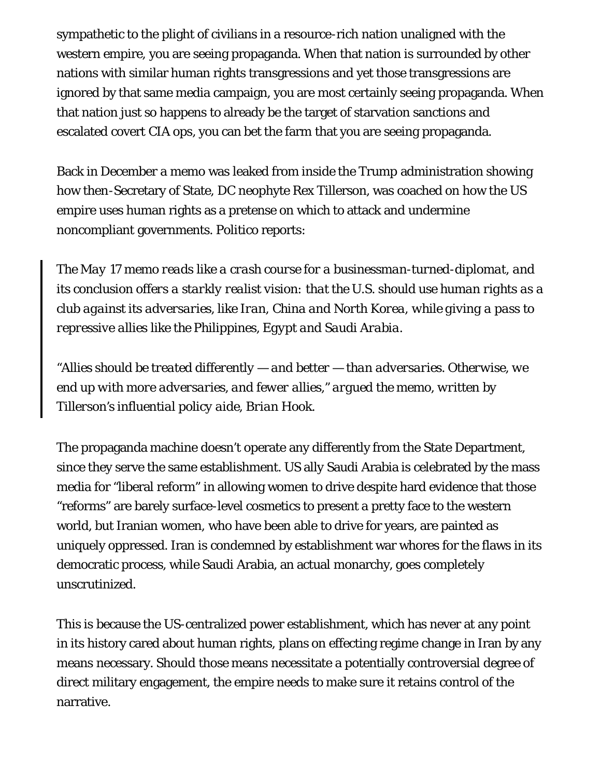sympathetic to the plight of civilians in a resource-rich nation unaligned with the western empire, you are seeing propaganda. When that nation is surrounded by other nations with similar human rights transgressions and yet those transgressions are ignored by that same media campaign, you are most certainly seeing propaganda. When that nation just so happens to already be the target of starvation sanctions and [escalated covert CIA ops,](https://medium.com/@caityjohnstone/why-you-should-be-intensely-skeptical-of-everything-you-hear-about-iran-protests-497d73e11ee2) you can bet the farm that you are seeing propaganda.

Back in December a memo was leaked from inside the Trump administration showing how then-Secretary of State, DC neophyte Rex Tillerson, was coached on how the US empire uses human rights as a pretense on which to attack and undermine noncompliant governments. *Politico* [reports](https://www.politico.com/story/2017/12/19/tillerson-state-human-rights-304118):

*The May 17 [memo](https://www.politico.com/f/?id=00000160-6c37-da3c-a371-ec3f13380001) reads like a crash course for a businessman-turned-diplomat, and its conclusion offers a starkly realist vision: that the U.S. should use human rights as a club against its adversaries, like Iran, China and North Korea, while giving a pass to repressive allies like the Philippines, Egypt and Saudi Arabia.*

*"Allies should be treated differently — and better — than adversaries. Otherwise, we end up with more adversaries, and fewer allies," argued the memo, written by Tillerson's influential policy aide, Brian Hook.*

The propaganda machine doesn't operate any differently from the State Department, since they serve the same establishment. US ally Saudi Arabia is celebrated by the mass media for "liberal reform" in allowing women to drive despite [hard evidence](https://twitter.com/LizSly/status/998361860465352705) that those "reforms" are barely surface-level cosmetics to present a pretty face to the western world, but Iranian women, who [have been able to drive for years](http://realiran.org/women-driving-in-iran-things-you-need-to-know/), are painted as uniquely oppressed. Iran is condemned by establishment war whores for the flaws in its democratic process, while Saudi Arabia, an actual monarchy, goes completely unscrutinized.

This is because the US-centralized power establishment, which has never at any point in its history cared about human rights, [plans on effecting regime change](https://medium.com/@caityjohnstone/stupid-ugly-swamp-monster-pretends-to-care-about-iranian-human-rights-cfac472889d8) in Iran by any means necessary. Should those means necessitate a potentially controversial degree of direct military engagement, the empire needs to make sure it [retains control of the](https://medium.com/@caityjohnstone/whoever-controls-the-narrative-controls-the-world-c22e1134e857) [narrative.](https://medium.com/@caityjohnstone/whoever-controls-the-narrative-controls-the-world-c22e1134e857)